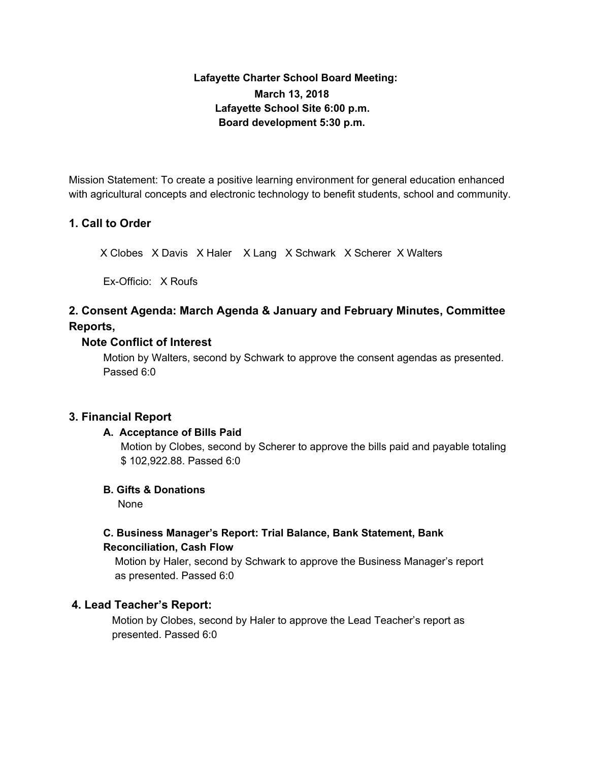# **Lafayette Charter School Board Meeting: March 13, 2018 Lafayette School Site 6:00 p.m. Board development 5:30 p.m.**

Mission Statement: To create a positive learning environment for general education enhanced with agricultural concepts and electronic technology to benefit students, school and community.

## **1. Call to Order**

X Clobes X Davis X Haler X Lang X Schwark X Scherer X Walters

Ex-Officio: X Roufs

# **2. Consent Agenda: March Agenda & January and February Minutes, Committee Reports,**

### **Note Conflict of Interest**

Motion by Walters, second by Schwark to approve the consent agendas as presented. Passed 6:0

### **3. Financial Report**

### **A. Acceptance of Bills Paid**

Motion by Clobes, second by Scherer to approve the bills paid and payable totaling \$ 102,922.88. Passed 6:0

### **B. Gifts & Donations**

None

# **C. Business Manager's Report: Trial Balance, Bank Statement, Bank Reconciliation, Cash Flow**

Motion by Haler, second by Schwark to approve the Business Manager's report as presented. Passed 6:0

### **4. Lead Teacher's Report:**

Motion by Clobes, second by Haler to approve the Lead Teacher's report as presented. Passed 6:0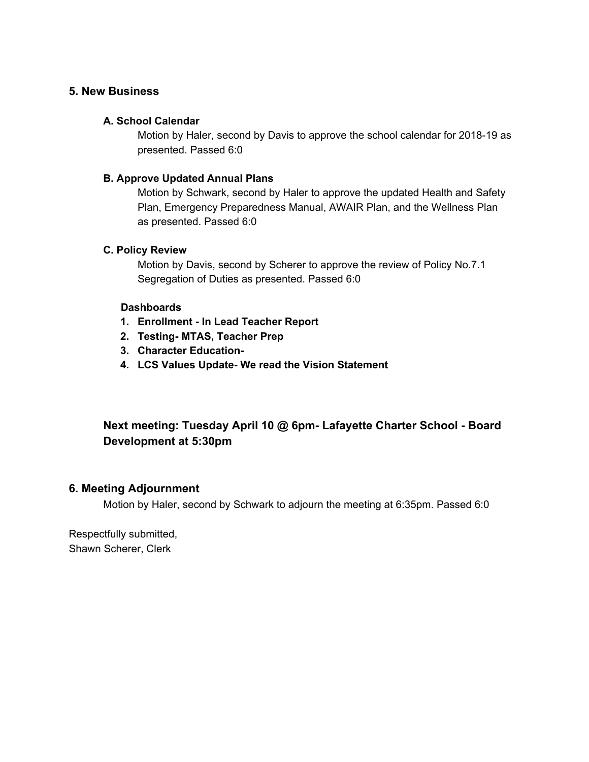## **5. New Business**

#### **A. School Calendar**

Motion by Haler, second by Davis to approve the school calendar for 2018-19 as presented. Passed 6:0

#### **B. Approve Updated Annual Plans**

Motion by Schwark, second by Haler to approve the updated Health and Safety Plan, Emergency Preparedness Manual, AWAIR Plan, and the Wellness Plan as presented. Passed 6:0

#### **C. Policy Review**

Motion by Davis, second by Scherer to approve the review of Policy No.7.1 Segregation of Duties as presented. Passed 6:0

#### **Dashboards**

- **1. Enrollment - In Lead Teacher Report**
- **2. Testing- MTAS, Teacher Prep**
- **3. Character Education-**
- **4. LCS Values Update- We read the Vision Statement**

# **Next meeting: Tuesday April 10 @ 6pm- Lafayette Charter School - Board Development at 5:30pm**

### **6. Meeting Adjournment**

Motion by Haler, second by Schwark to adjourn the meeting at 6:35pm. Passed 6:0

Respectfully submitted, Shawn Scherer, Clerk